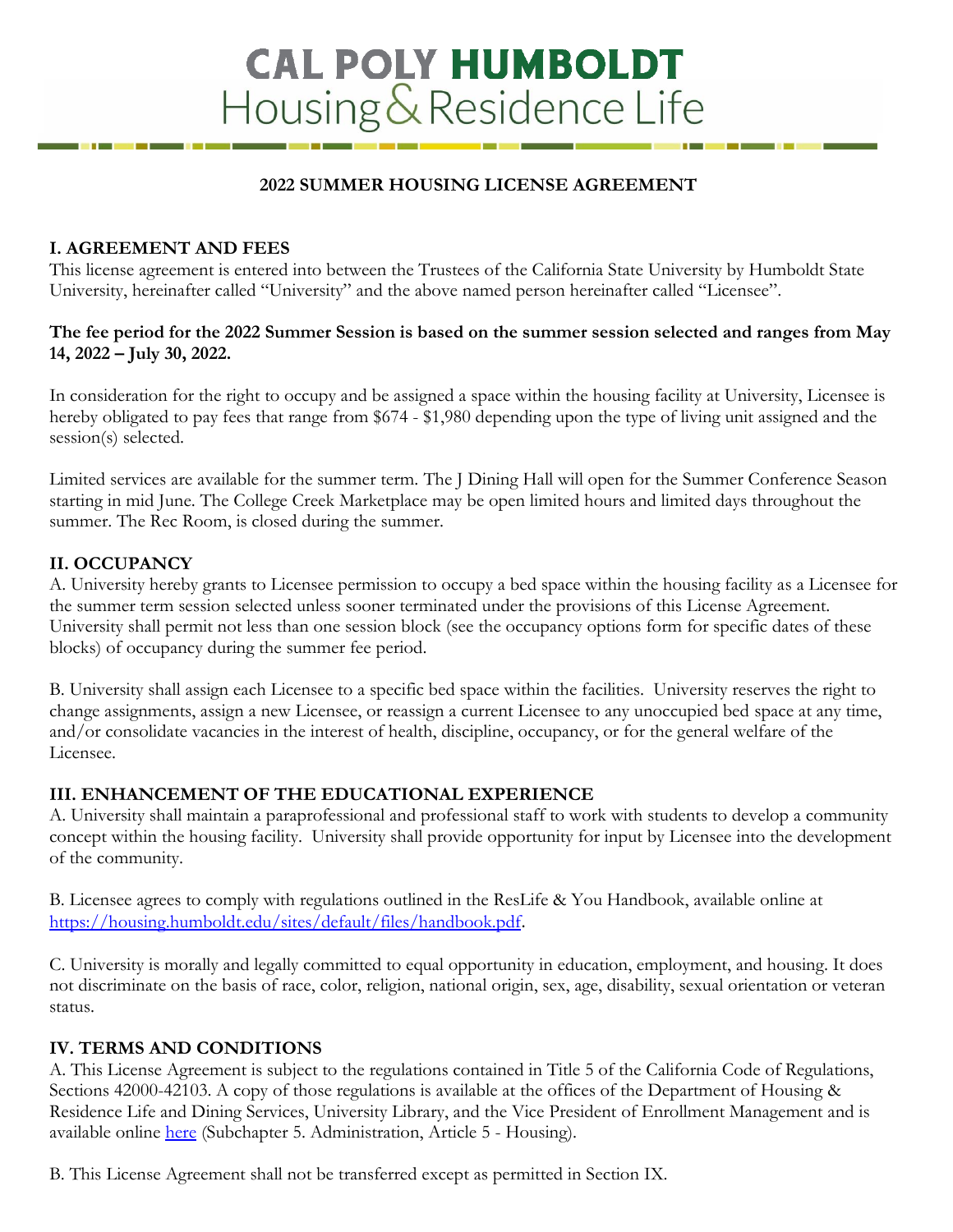# **CAL POLY HUMBOLDT** Housing & Residence Life

#### **2022 SUMMER HOUSING LICENSE AGREEMENT**

#### **I. AGREEMENT AND FEES**

This license agreement is entered into between the Trustees of the California State University by Humboldt State University, hereinafter called "University" and the above named person hereinafter called "Licensee".

#### **The fee period for the 2022 Summer Session is based on the summer session selected and ranges from May 14, 2022 – July 30, 2022.**

In consideration for the right to occupy and be assigned a space within the housing facility at University, Licensee is hereby obligated to pay fees that range from \$674 - \$1,980 depending upon the type of living unit assigned and the session(s) selected.

Limited services are available for the summer term. The J Dining Hall will open for the Summer Conference Season starting in mid June. The College Creek Marketplace may be open limited hours and limited days throughout the summer. The Rec Room, is closed during the summer.

## **II. OCCUPANCY**

A. University hereby grants to Licensee permission to occupy a bed space within the housing facility as a Licensee for the summer term session selected unless sooner terminated under the provisions of this License Agreement. University shall permit not less than one session block (see the occupancy options form for specific dates of these blocks) of occupancy during the summer fee period.

B. University shall assign each Licensee to a specific bed space within the facilities. University reserves the right to change assignments, assign a new Licensee, or reassign a current Licensee to any unoccupied bed space at any time, and/or consolidate vacancies in the interest of health, discipline, occupancy, or for the general welfare of the Licensee.

#### **III. ENHANCEMENT OF THE EDUCATIONAL EXPERIENCE**

A. University shall maintain a paraprofessional and professional staff to work with students to develop a community concept within the housing facility. University shall provide opportunity for input by Licensee into the development of the community.

B. Licensee agrees to comply with regulations outlined in the ResLife & You Handbook, available online at <https://housing.humboldt.edu/sites/default/files/handbook.pdf>.

C. University is morally and legally committed to equal opportunity in education, employment, and housing. It does not discriminate on the basis of race, color, religion, national origin, sex, age, disability, sexual orientation or veteran status.

## **IV. TERMS AND CONDITIONS**

A. This License Agreement is subject to the regulations contained in Title 5 of the California Code of Regulations, Sections 42000-42103. A copy of those regulations is available at the offices of the Department of Housing & Residence Life and Dining Services, University Library, and the Vice President of Enrollment Management and is available online [here](https://govt.westlaw.com/calregs/Browse/Home/California/CaliforniaCodeofRegulations?guid=I67417180D48311DEBC02831C6D6C108E&originationContext=documenttoc&transitionType=Default&contextData=(sc.Default)) (Subchapter 5. Administration, Article 5 - Housing).

B. This License Agreement shall not be transferred except as permitted in Section IX.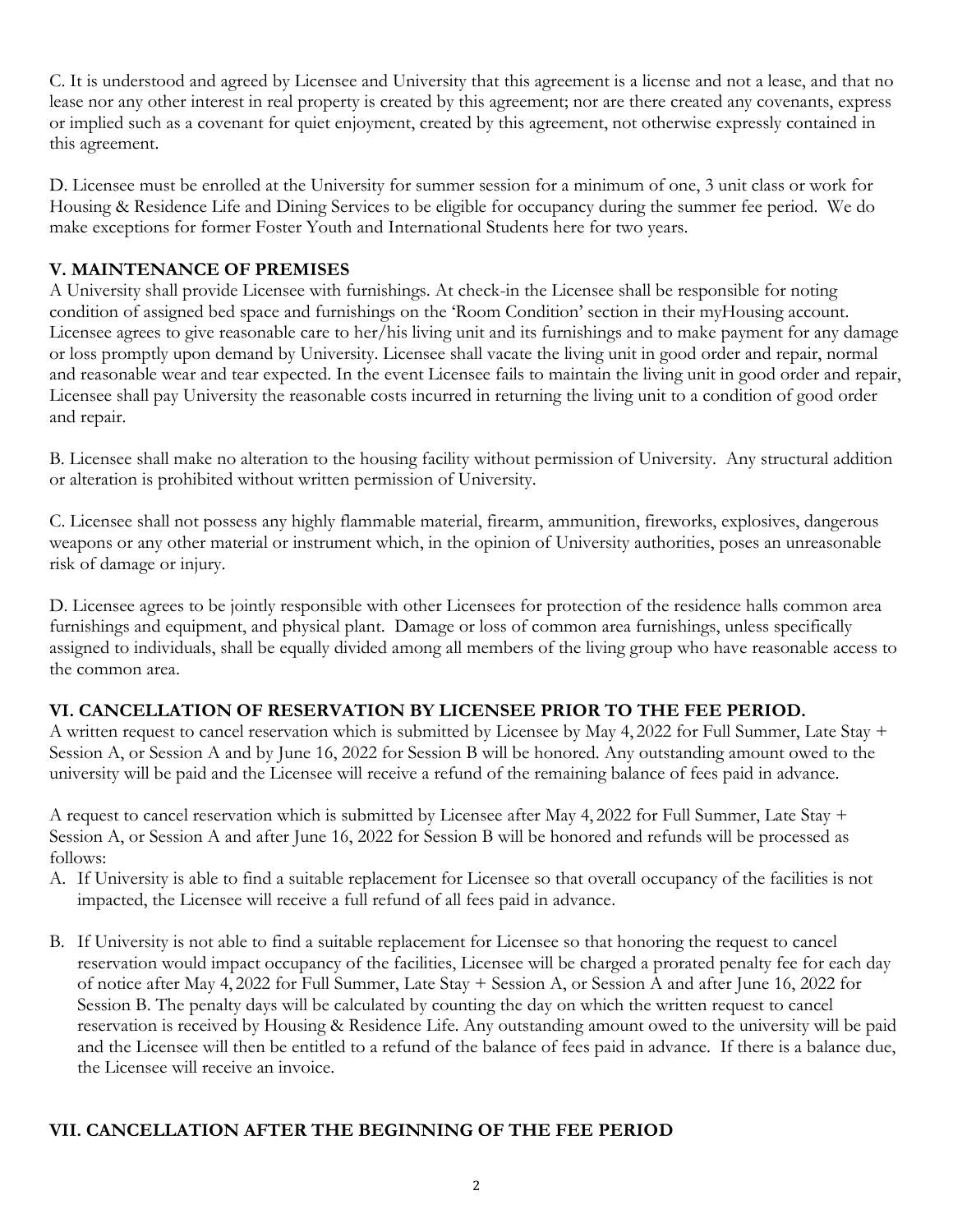C. It is understood and agreed by Licensee and University that this agreement is a license and not a lease, and that no lease nor any other interest in real property is created by this agreement; nor are there created any covenants, express or implied such as a covenant for quiet enjoyment, created by this agreement, not otherwise expressly contained in this agreement.

D. Licensee must be enrolled at the University for summer session for a minimum of one, 3 unit class or work for Housing & Residence Life and Dining Services to be eligible for occupancy during the summer fee period. We do make exceptions for former Foster Youth and International Students here for two years.

# **V. MAINTENANCE OF PREMISES**

A University shall provide Licensee with furnishings. At check-in the Licensee shall be responsible for noting condition of assigned bed space and furnishings on the 'Room Condition' section in their myHousing account. Licensee agrees to give reasonable care to her/his living unit and its furnishings and to make payment for any damage or loss promptly upon demand by University. Licensee shall vacate the living unit in good order and repair, normal and reasonable wear and tear expected. In the event Licensee fails to maintain the living unit in good order and repair, Licensee shall pay University the reasonable costs incurred in returning the living unit to a condition of good order and repair.

B. Licensee shall make no alteration to the housing facility without permission of University. Any structural addition or alteration is prohibited without written permission of University.

C. Licensee shall not possess any highly flammable material, firearm, ammunition, fireworks, explosives, dangerous weapons or any other material or instrument which, in the opinion of University authorities, poses an unreasonable risk of damage or injury.

D. Licensee agrees to be jointly responsible with other Licensees for protection of the residence halls common area furnishings and equipment, and physical plant. Damage or loss of common area furnishings, unless specifically assigned to individuals, shall be equally divided among all members of the living group who have reasonable access to the common area.

## **VI. CANCELLATION OF RESERVATION BY LICENSEE PRIOR TO THE FEE PERIOD.**

A written request to cancel reservation which is submitted by Licensee by May 4, 2022 for Full Summer, Late Stay + Session A, or Session A and by June 16, 2022 for Session B will be honored. Any outstanding amount owed to the university will be paid and the Licensee will receive a refund of the remaining balance of fees paid in advance.

A request to cancel reservation which is submitted by Licensee after May 4, 2022 for Full Summer, Late Stay + Session A, or Session A and after June 16, 2022 for Session B will be honored and refunds will be processed as follows:

- A. If University is able to find a suitable replacement for Licensee so that overall occupancy of the facilities is not impacted, the Licensee will receive a full refund of all fees paid in advance.
- B. If University is not able to find a suitable replacement for Licensee so that honoring the request to cancel reservation would impact occupancy of the facilities, Licensee will be charged a prorated penalty fee for each day of notice after May 4, 2022 for Full Summer, Late Stay + Session A, or Session A and after June 16, 2022 for Session B. The penalty days will be calculated by counting the day on which the written request to cancel reservation is received by Housing & Residence Life. Any outstanding amount owed to the university will be paid and the Licensee will then be entitled to a refund of the balance of fees paid in advance. If there is a balance due, the Licensee will receive an invoice.

## **VII. CANCELLATION AFTER THE BEGINNING OF THE FEE PERIOD**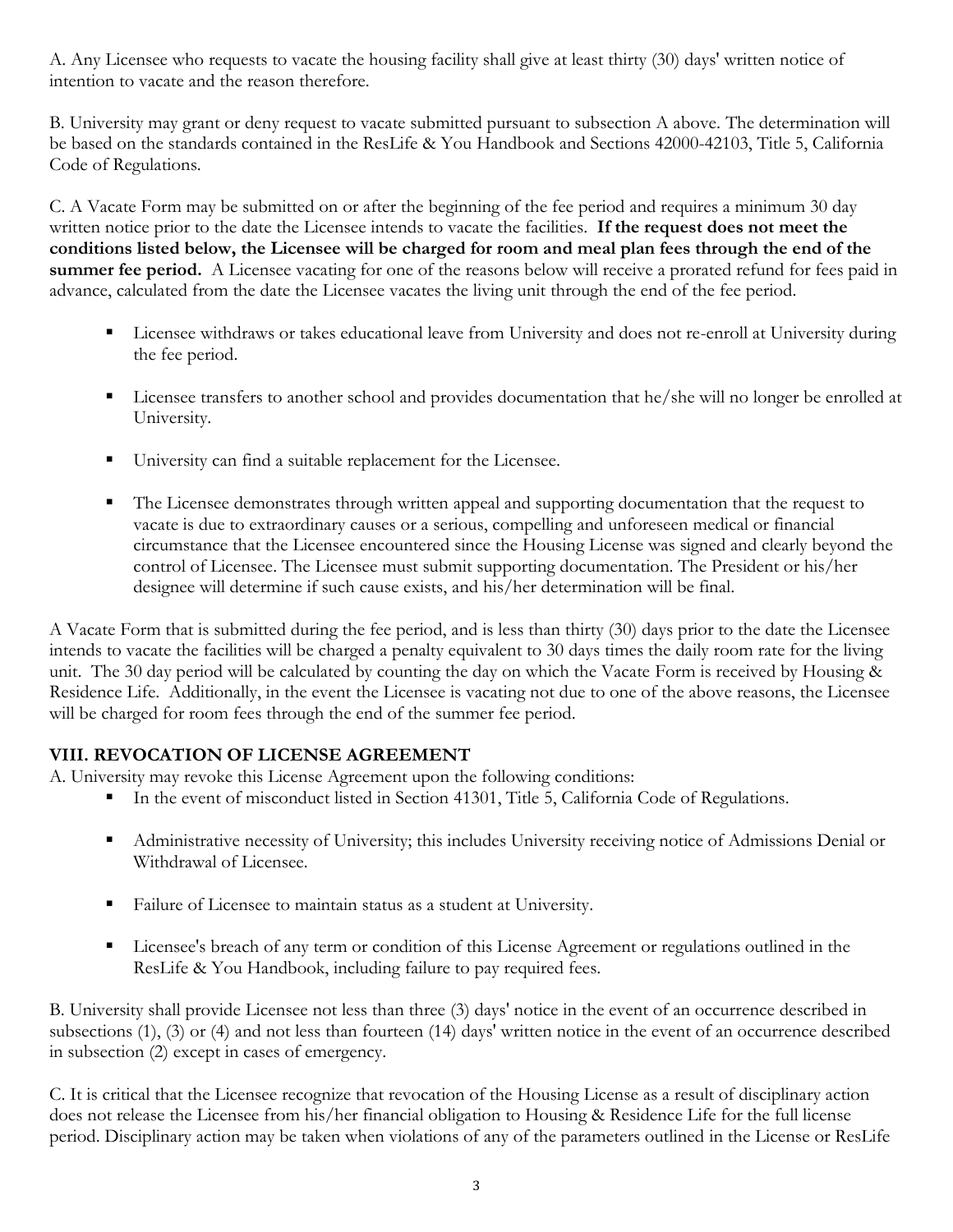A. Any Licensee who requests to vacate the housing facility shall give at least thirty (30) days' written notice of intention to vacate and the reason therefore.

B. University may grant or deny request to vacate submitted pursuant to subsection A above. The determination will be based on the standards contained in the ResLife & You Handbook and Sections 42000-42103, Title 5, California Code of Regulations.

C. A Vacate Form may be submitted on or after the beginning of the fee period and requires a minimum 30 day written notice prior to the date the Licensee intends to vacate the facilities. **If the request does not meet the conditions listed below, the Licensee will be charged for room and meal plan fees through the end of the summer fee period.** A Licensee vacating for one of the reasons below will receive a prorated refund for fees paid in advance, calculated from the date the Licensee vacates the living unit through the end of the fee period.

- Licensee withdraws or takes educational leave from University and does not re-enroll at University during the fee period.
- Licensee transfers to another school and provides documentation that he/she will no longer be enrolled at University.
- University can find a suitable replacement for the Licensee.
- The Licensee demonstrates through written appeal and supporting documentation that the request to vacate is due to extraordinary causes or a serious, compelling and unforeseen medical or financial circumstance that the Licensee encountered since the Housing License was signed and clearly beyond the control of Licensee. The Licensee must submit supporting documentation. The President or his/her designee will determine if such cause exists, and his/her determination will be final.

A Vacate Form that is submitted during the fee period, and is less than thirty (30) days prior to the date the Licensee intends to vacate the facilities will be charged a penalty equivalent to 30 days times the daily room rate for the living unit. The 30 day period will be calculated by counting the day on which the Vacate Form is received by Housing & Residence Life. Additionally, in the event the Licensee is vacating not due to one of the above reasons, the Licensee will be charged for room fees through the end of the summer fee period.

# **VIII. REVOCATION OF LICENSE AGREEMENT**

A. University may revoke this License Agreement upon the following conditions:

- In the event of misconduct listed in Section 41301, Title 5, California Code of Regulations.
- Administrative necessity of University; this includes University receiving notice of Admissions Denial or Withdrawal of Licensee.
- Failure of Licensee to maintain status as a student at University.
- Licensee's breach of any term or condition of this License Agreement or regulations outlined in the ResLife & You Handbook, including failure to pay required fees.

B. University shall provide Licensee not less than three (3) days' notice in the event of an occurrence described in subsections (1), (3) or (4) and not less than fourteen (14) days' written notice in the event of an occurrence described in subsection (2) except in cases of emergency.

C. It is critical that the Licensee recognize that revocation of the Housing License as a result of disciplinary action does not release the Licensee from his/her financial obligation to Housing & Residence Life for the full license period. Disciplinary action may be taken when violations of any of the parameters outlined in the License or ResLife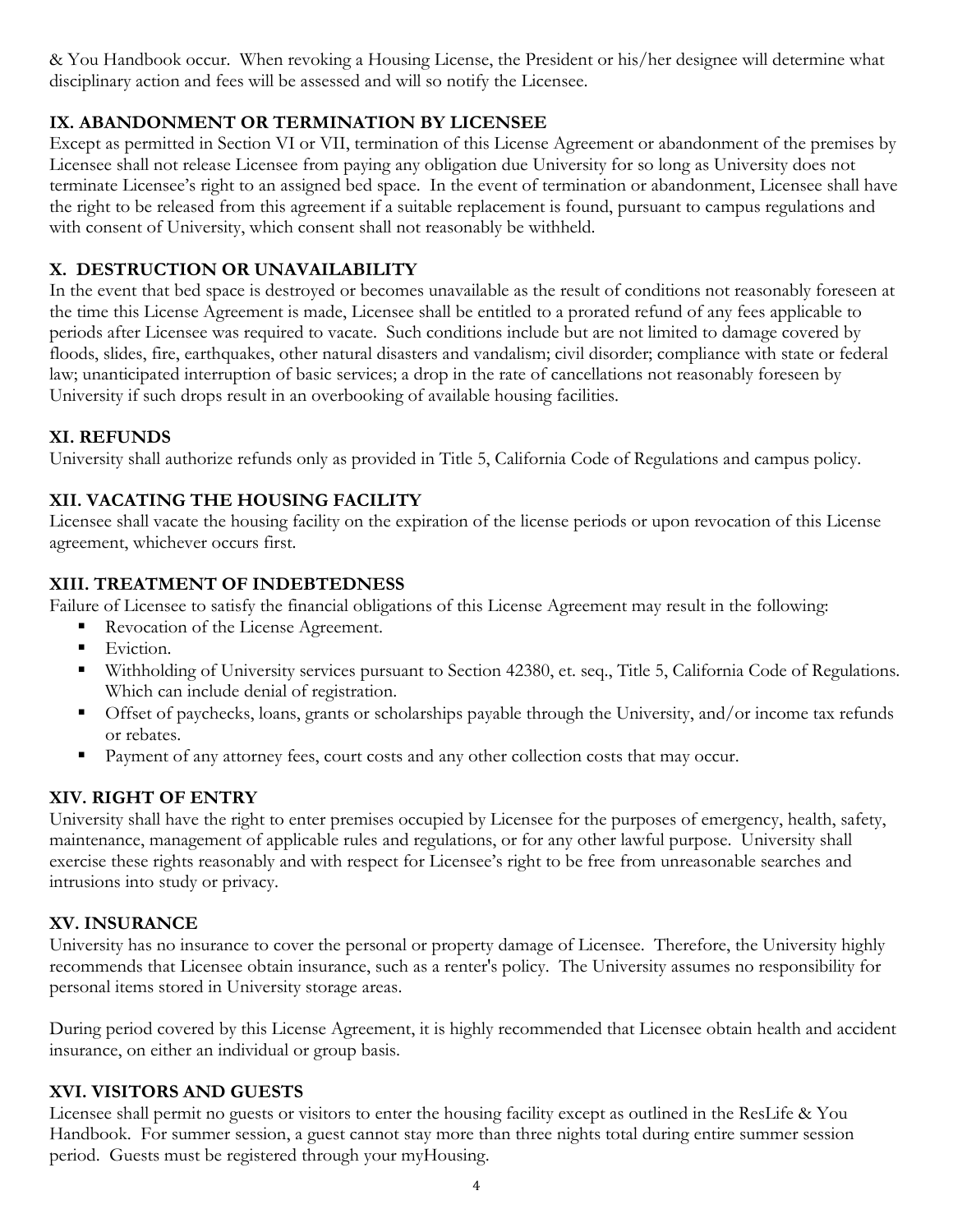& You Handbook occur. When revoking a Housing License, the President or his/her designee will determine what disciplinary action and fees will be assessed and will so notify the Licensee.

# **IX. ABANDONMENT OR TERMINATION BY LICENSEE**

Except as permitted in Section VI or VII, termination of this License Agreement or abandonment of the premises by Licensee shall not release Licensee from paying any obligation due University for so long as University does not terminate Licensee's right to an assigned bed space. In the event of termination or abandonment, Licensee shall have the right to be released from this agreement if a suitable replacement is found, pursuant to campus regulations and with consent of University, which consent shall not reasonably be withheld.

# **X. DESTRUCTION OR UNAVAILABILITY**

In the event that bed space is destroyed or becomes unavailable as the result of conditions not reasonably foreseen at the time this License Agreement is made, Licensee shall be entitled to a prorated refund of any fees applicable to periods after Licensee was required to vacate. Such conditions include but are not limited to damage covered by floods, slides, fire, earthquakes, other natural disasters and vandalism; civil disorder; compliance with state or federal law; unanticipated interruption of basic services; a drop in the rate of cancellations not reasonably foreseen by University if such drops result in an overbooking of available housing facilities.

## **XI. REFUNDS**

University shall authorize refunds only as provided in Title 5, California Code of Regulations and campus policy.

# **XII. VACATING THE HOUSING FACILITY**

Licensee shall vacate the housing facility on the expiration of the license periods or upon revocation of this License agreement, whichever occurs first.

## **XIII. TREATMENT OF INDEBTEDNESS**

Failure of Licensee to satisfy the financial obligations of this License Agreement may result in the following:

- Revocation of the License Agreement.
- **Eviction.**
- Withholding of University services pursuant to Section 42380, et. seq., Title 5, California Code of Regulations. Which can include denial of registration.
- Offset of paychecks, loans, grants or scholarships payable through the University, and/or income tax refunds or rebates.
- Payment of any attorney fees, court costs and any other collection costs that may occur.

# **XIV. RIGHT OF ENTRY**

University shall have the right to enter premises occupied by Licensee for the purposes of emergency, health, safety, maintenance, management of applicable rules and regulations, or for any other lawful purpose. University shall exercise these rights reasonably and with respect for Licensee's right to be free from unreasonable searches and intrusions into study or privacy.

# **XV. INSURANCE**

University has no insurance to cover the personal or property damage of Licensee. Therefore, the University highly recommends that Licensee obtain insurance, such as a renter's policy. The University assumes no responsibility for personal items stored in University storage areas.

During period covered by this License Agreement, it is highly recommended that Licensee obtain health and accident insurance, on either an individual or group basis.

# **XVI. VISITORS AND GUESTS**

Licensee shall permit no guests or visitors to enter the housing facility except as outlined in the ResLife & You Handbook. For summer session, a guest cannot stay more than three nights total during entire summer session period. Guests must be registered through your myHousing.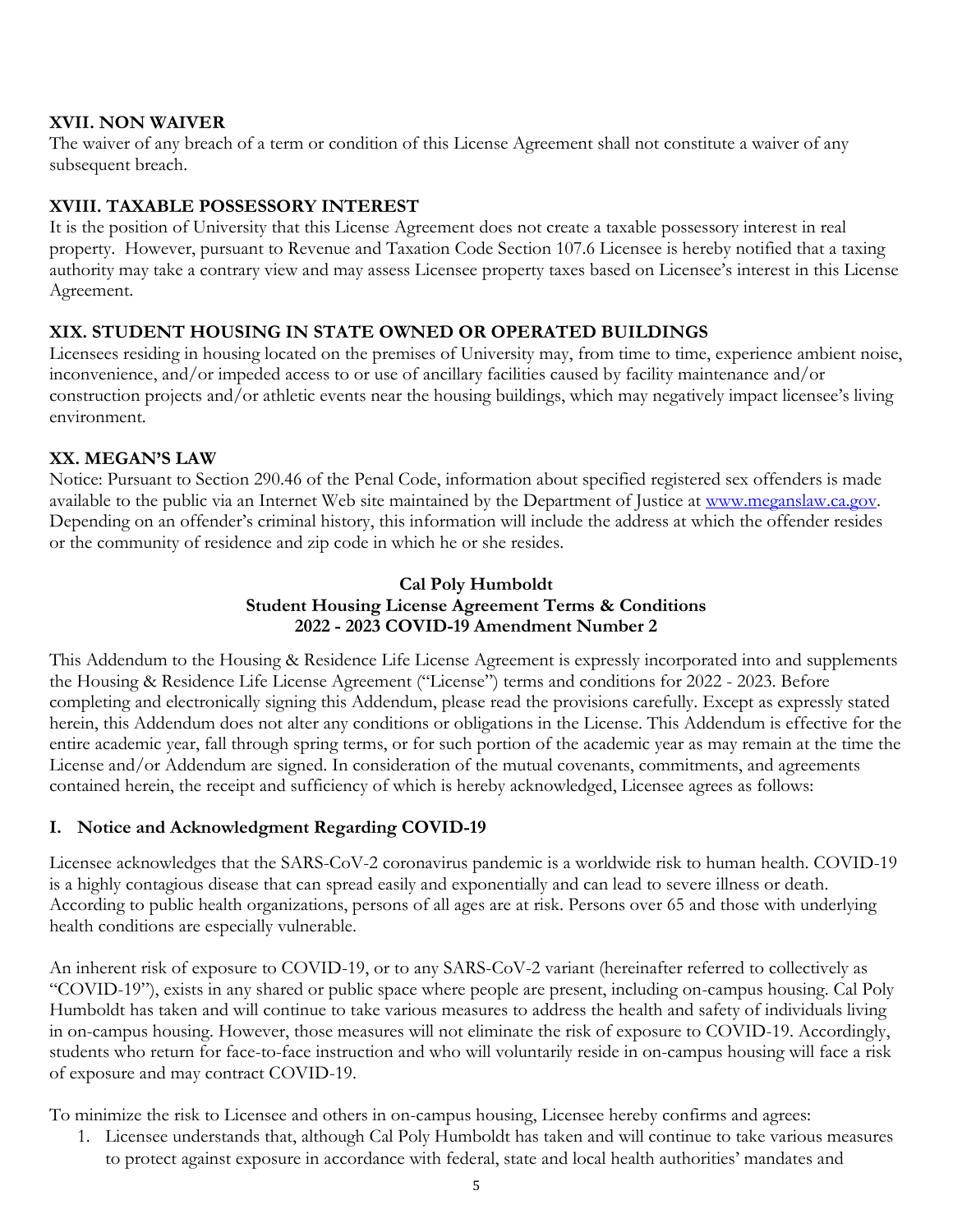#### **XVII. NON WAIVER**

The waiver of any breach of a term or condition of this License Agreement shall not constitute a waiver of any subsequent breach.

## **XVIII. TAXABLE POSSESSORY INTEREST**

It is the position of University that this License Agreement does not create a taxable possessory interest in real property. However, pursuant to Revenue and Taxation Code Section 107.6 Licensee is hereby notified that a taxing authority may take a contrary view and may assess Licensee property taxes based on Licensee's interest in this License Agreement.

#### **XIX. STUDENT HOUSING IN STATE OWNED OR OPERATED BUILDINGS**

Licensees residing in housing located on the premises of University may, from time to time, experience ambient noise, inconvenience, and/or impeded access to or use of ancillary facilities caused by facility maintenance and/or construction projects and/or athletic events near the housing buildings, which may negatively impact licensee's living environment.

#### **XX. MEGAN'S LAW**

Notice: Pursuant to Section 290.46 of the Penal Code, information about specified registered sex offenders is made available to the public via an Internet Web site maintained by the Department of Justice at [www.meganslaw.ca.gov.](http://www.meganslaw.ca.gov/) Depending on an offender's criminal history, this information will include the address at which the offender resides or the community of residence and zip code in which he or she resides.

## **Cal Poly Humboldt Student Housing License Agreement Terms & Conditions 2022 - 2023 COVID-19 Amendment Number 2**

This Addendum to the Housing & Residence Life License Agreement is expressly incorporated into and supplements the Housing & Residence Life License Agreement ("License") terms and conditions for 2022 - 2023. Before completing and electronically signing this Addendum, please read the provisions carefully. Except as expressly stated herein, this Addendum does not alter any conditions or obligations in the License. This Addendum is effective for the entire academic year, fall through spring terms, or for such portion of the academic year as may remain at the time the License and/or Addendum are signed. In consideration of the mutual covenants, commitments, and agreements contained herein, the receipt and sufficiency of which is hereby acknowledged, Licensee agrees as follows:

#### **I. Notice and Acknowledgment Regarding COVID-19**

Licensee acknowledges that the SARS-CoV-2 coronavirus pandemic is a worldwide risk to human health. COVID-19 is a highly contagious disease that can spread easily and exponentially and can lead to severe illness or death. According to public health organizations, persons of all ages are at risk. Persons over 65 and those with underlying health conditions are especially vulnerable.

An inherent risk of exposure to COVID-19, or to any SARS-CoV-2 variant (hereinafter referred to collectively as "COVID-19"), exists in any shared or public space where people are present, including on-campus housing. Cal Poly Humboldt has taken and will continue to take various measures to address the health and safety of individuals living in on-campus housing. However, those measures will not eliminate the risk of exposure to COVID-19. Accordingly, students who return for face-to-face instruction and who will voluntarily reside in on-campus housing will face a risk of exposure and may contract COVID-19.

To minimize the risk to Licensee and others in on-campus housing, Licensee hereby confirms and agrees:

1. Licensee understands that, although Cal Poly Humboldt has taken and will continue to take various measures to protect against exposure in accordance with federal, state and local health authorities' mandates and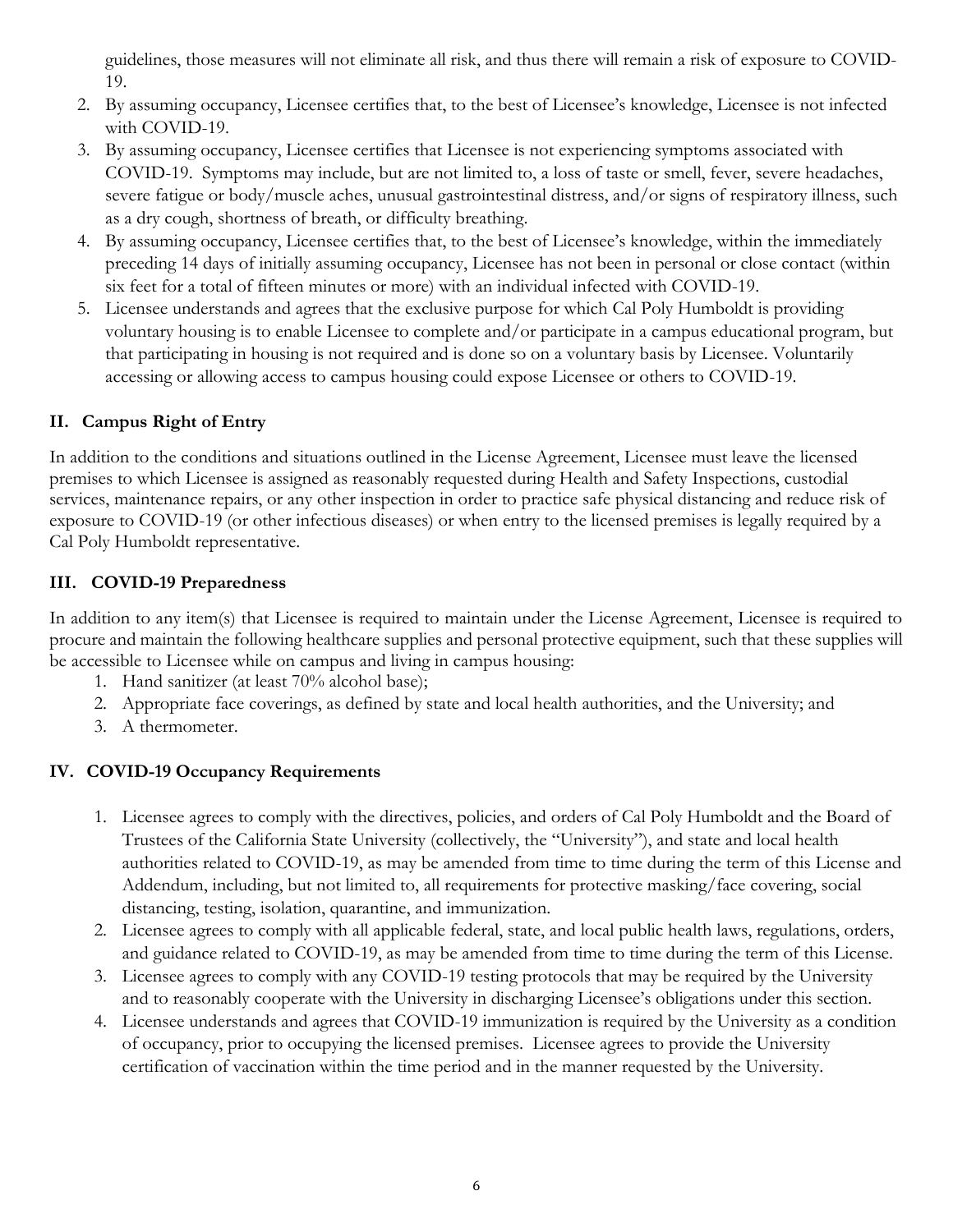guidelines, those measures will not eliminate all risk, and thus there will remain a risk of exposure to COVID-19.

- 2. By assuming occupancy, Licensee certifies that, to the best of Licensee's knowledge, Licensee is not infected with COVID-19.
- 3. By assuming occupancy, Licensee certifies that Licensee is not experiencing symptoms associated with COVID-19. Symptoms may include, but are not limited to, a loss of taste or smell, fever, severe headaches, severe fatigue or body/muscle aches, unusual gastrointestinal distress, and/or signs of respiratory illness, such as a dry cough, shortness of breath, or difficulty breathing.
- 4. By assuming occupancy, Licensee certifies that, to the best of Licensee's knowledge, within the immediately preceding 14 days of initially assuming occupancy, Licensee has not been in personal or close contact (within six feet for a total of fifteen minutes or more) with an individual infected with COVID-19.
- 5. Licensee understands and agrees that the exclusive purpose for which Cal Poly Humboldt is providing voluntary housing is to enable Licensee to complete and/or participate in a campus educational program, but that participating in housing is not required and is done so on a voluntary basis by Licensee. Voluntarily accessing or allowing access to campus housing could expose Licensee or others to COVID-19.

# **II. Campus Right of Entry**

In addition to the conditions and situations outlined in the License Agreement, Licensee must leave the licensed premises to which Licensee is assigned as reasonably requested during Health and Safety Inspections, custodial services, maintenance repairs, or any other inspection in order to practice safe physical distancing and reduce risk of exposure to COVID-19 (or other infectious diseases) or when entry to the licensed premises is legally required by a Cal Poly Humboldt representative.

## **III. COVID-19 Preparedness**

In addition to any item(s) that Licensee is required to maintain under the License Agreement, Licensee is required to procure and maintain the following healthcare supplies and personal protective equipment, such that these supplies will be accessible to Licensee while on campus and living in campus housing:

- 1. Hand sanitizer (at least 70% alcohol base);
- 2. Appropriate face coverings, as defined by state and local health authorities, and the University; and
- 3. A thermometer.

# **IV. COVID-19 Occupancy Requirements**

- 1. Licensee agrees to comply with the directives, policies, and orders of Cal Poly Humboldt and the Board of Trustees of the California State University (collectively, the "University"), and state and local health authorities related to COVID-19, as may be amended from time to time during the term of this License and Addendum, including, but not limited to, all requirements for protective masking/face covering, social distancing, testing, isolation, quarantine, and immunization.
- 2. Licensee agrees to comply with all applicable federal, state, and local public health laws, regulations, orders, and guidance related to COVID-19, as may be amended from time to time during the term of this License.
- 3. Licensee agrees to comply with any COVID-19 testing protocols that may be required by the University and to reasonably cooperate with the University in discharging Licensee's obligations under this section.
- 4. Licensee understands and agrees that COVID-19 immunization is required by the University as a condition of occupancy, prior to occupying the licensed premises. Licensee agrees to provide the University certification of vaccination within the time period and in the manner requested by the University.